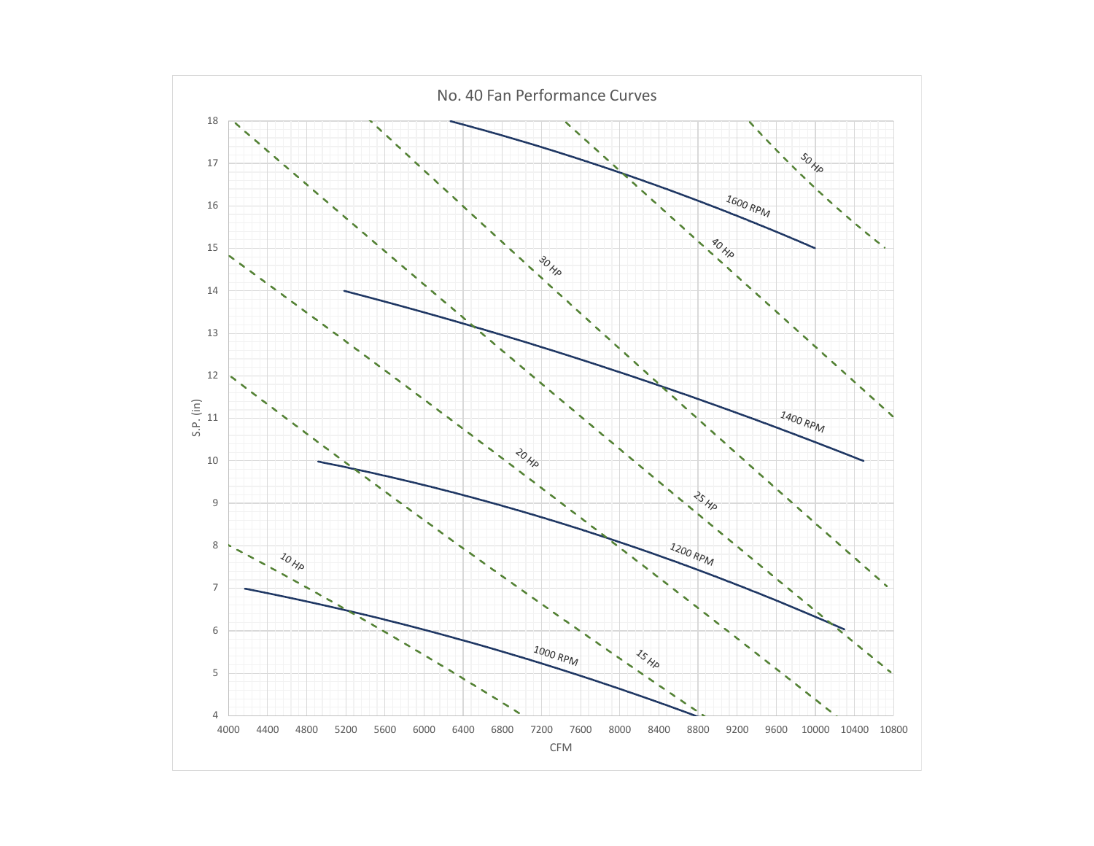